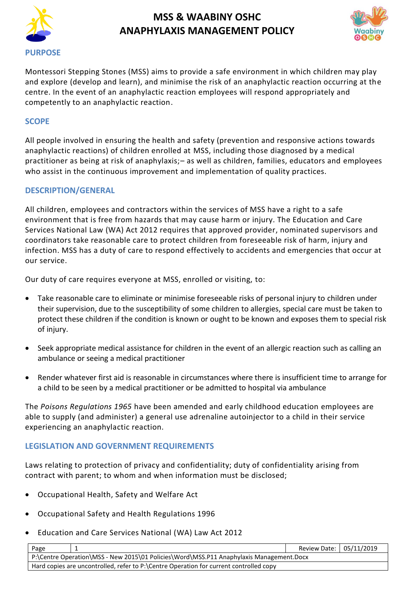



Montessori Stepping Stones (MSS) aims to provide a safe environment in which children may play and explore (develop and learn), and minimise the risk of an anaphylactic reaction occurring at the centre. In the event of an anaphylactic reaction employees will respond appropriately and competently to an anaphylactic reaction.

### **SCOPE**

All people involved in ensuring the health and safety (prevention and responsive actions towards anaphylactic reactions) of children enrolled at MSS, including those diagnosed by a medical practitioner as being at risk of anaphylaxis;– as well as children, families, educators and employees who assist in the continuous improvement and implementation of quality practices.

#### **DESCRIPTION/GENERAL**

All children, employees and contractors within the services of MSS have a right to a safe environment that is free from hazards that may cause harm or injury. The Education and Care Services National Law (WA) Act 2012 requires that approved provider, nominated supervisors and coordinators take reasonable care to protect children from foreseeable risk of harm, injury and infection. MSS has a duty of care to respond effectively to accidents and emergencies that occur at our service.

Our duty of care requires everyone at MSS, enrolled or visiting, to:

- Take reasonable care to eliminate or minimise foreseeable risks of personal injury to children under their supervision, due to the susceptibility of some children to allergies, special care must be taken to protect these children if the condition is known or ought to be known and exposes them to special risk of injury.
- Seek appropriate medical assistance for children in the event of an allergic reaction such as calling an ambulance or seeing a medical practitioner
- Render whatever first aid is reasonable in circumstances where there is insufficient time to arrange for a child to be seen by a medical practitioner or be admitted to hospital via ambulance

The *Poisons Regulations 1965* have been amended and early childhood education employees are able to supply (and administer) a general use adrenaline autoinjector to a child in their service experiencing an anaphylactic reaction.

### **LEGISLATION AND GOVERNMENT REQUIREMENTS**

Laws relating to protection of privacy and confidentiality; duty of confidentiality arising from contract with parent; to whom and when information must be disclosed;

- [Occupational Health, Safety and Welfare Act](http://www.slp.wa.gov.au/legislation/agency.nsf/docep_main_mrtitle_4245_homepage.html)
- [Occupational Safety and Health Regulations 1996](http://www.slp.wa.gov.au/legislation/agency.nsf/docep_main_mrtitle_12516_homepage.html)
- Education and Care Services National (WA) Law Act 2012

| Page                                                                                    |  | Review Date: 05/11/2019 |  |  |  |
|-----------------------------------------------------------------------------------------|--|-------------------------|--|--|--|
| P:\Centre Operation\MSS - New 2015\01 Policies\Word\MSS.P11 Anaphylaxis Management.Docx |  |                         |  |  |  |
| Hard copies are uncontrolled, refer to P:\Centre Operation for current controlled copy  |  |                         |  |  |  |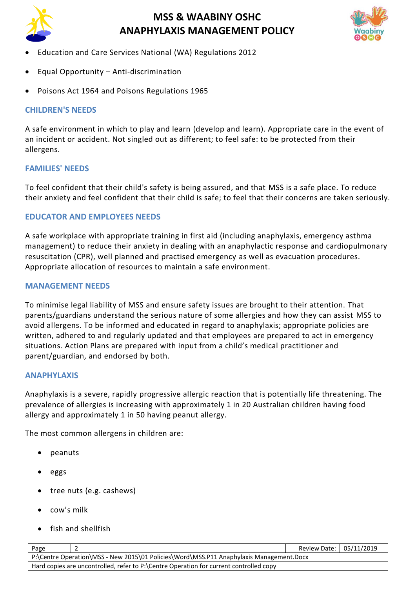



- Education and Care Services National (WA) Regulations 2012
- Equal Opportunity Anti-discrimination
- Poisons Act 1964 and Poisons Regulations 1965

### **CHILDREN'S NEEDS**

A safe environment in which to play and learn (develop and learn). Appropriate care in the event of an incident or accident. Not singled out as different; to feel safe: to be protected from their allergens.

## **FAMILIES' NEEDS**

To feel confident that their child's safety is being assured, and that MSS is a safe place. To reduce their anxiety and feel confident that their child is safe; to feel that their concerns are taken seriously.

## **EDUCATOR AND EMPLOYEES NEEDS**

A safe workplace with appropriate training in first aid (including anaphylaxis, emergency asthma management) to reduce their anxiety in dealing with an anaphylactic response and cardiopulmonary resuscitation (CPR), well planned and practised emergency as well as evacuation procedures. Appropriate allocation of resources to maintain a safe environment.

### **MANAGEMENT NEEDS**

To minimise legal liability of MSS and ensure safety issues are brought to their attention. That parents/guardians understand the serious nature of some allergies and how they can assist MSS to avoid allergens. To be informed and educated in regard to anaphylaxis; appropriate policies are written, adhered to and regularly updated and that employees are prepared to act in emergency situations. Action Plans are prepared with input from a child's medical practitioner and parent/guardian, and endorsed by both.

#### **ANAPHYLAXIS**

Anaphylaxis is a severe, rapidly progressive allergic reaction that is potentially life threatening. The prevalence of allergies is increasing with approximately 1 in 20 Australian children having food allergy and approximately 1 in 50 having peanut allergy.

The most common allergens in children are:

- peanuts
- eggs
- tree nuts (e.g. cashews)
- cow's milk
- fish and shellfish

| Page                                                                                    |  | Review Date: 05/11/2019 |  |  |  |
|-----------------------------------------------------------------------------------------|--|-------------------------|--|--|--|
| P:\Centre Operation\MSS - New 2015\01 Policies\Word\MSS.P11 Anaphylaxis Management.Docx |  |                         |  |  |  |
| Hard copies are uncontrolled, refer to P:\Centre Operation for current controlled copy  |  |                         |  |  |  |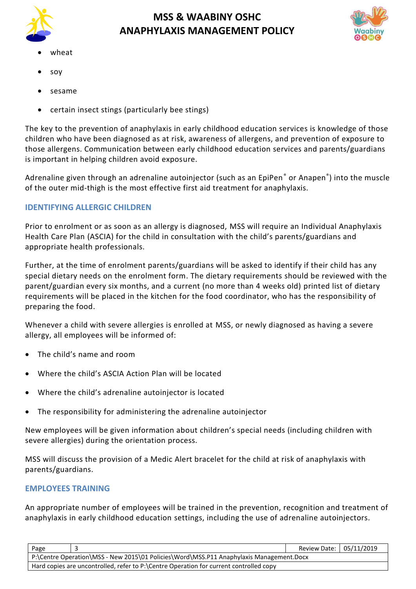



- wheat
- soy
- sesame
- certain insect stings (particularly bee stings)

The key to the prevention of anaphylaxis in early childhood education services is knowledge of those children who have been diagnosed as at risk, awareness of allergens, and prevention of exposure to those allergens. Communication between early childhood education services and parents/guardians is important in helping children avoid exposure.

Adrenaline given through an adrenaline autoinjector (such as an EpiPen<sup>®</sup> or Anapen®) into the muscle of the outer mid-thigh is the most effective first aid treatment for anaphylaxis.

## **IDENTIFYING ALLERGIC CHILDREN**

Prior to enrolment or as soon as an allergy is diagnosed, MSS will require an Individual Anaphylaxis Health Care Plan (ASCIA) for the child in consultation with the child's parents/guardians and appropriate health professionals.

Further, at the time of enrolment parents/guardians will be asked to identify if their child has any special dietary needs on the enrolment form. The dietary requirements should be reviewed with the parent/guardian every six months, and a current (no more than 4 weeks old) printed list of dietary requirements will be placed in the kitchen for the food coordinator, who has the responsibility of preparing the food.

Whenever a child with severe allergies is enrolled at MSS, or newly diagnosed as having a severe allergy, all employees will be informed of:

- The child's name and room
- Where the child's ASCIA Action Plan will be located
- Where the child's adrenaline autoinjector is located
- The responsibility for administering the adrenaline autoinjector

New employees will be given information about children's special needs (including children with severe allergies) during the orientation process.

MSS will discuss the provision of a Medic Alert bracelet for the child at risk of anaphylaxis with parents/guardians.

## **EMPLOYEES TRAINING**

An appropriate number of employees will be trained in the prevention, recognition and treatment of anaphylaxis in early childhood education settings, including the use of adrenaline autoinjectors.

| Page                                                                                    |  | Review Date: 05/11/2019 |  |  |
|-----------------------------------------------------------------------------------------|--|-------------------------|--|--|
| P:\Centre Operation\MSS - New 2015\01 Policies\Word\MSS.P11 Anaphylaxis Management.Docx |  |                         |  |  |
| Hard copies are uncontrolled, refer to P:\Centre Operation for current controlled copy  |  |                         |  |  |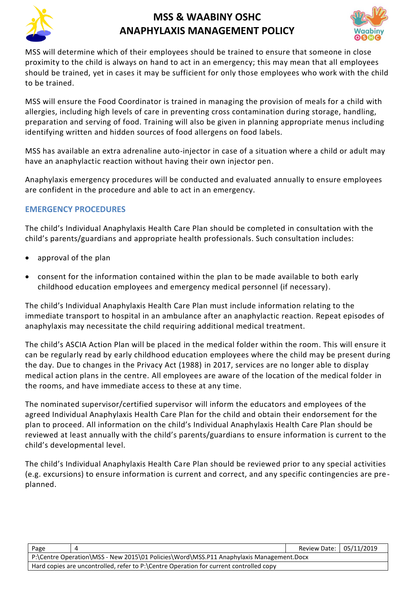



MSS will determine which of their employees should be trained to ensure that someone in close proximity to the child is always on hand to act in an emergency; this may mean that all employees should be trained, yet in cases it may be sufficient for only those employees who work with the child to be trained.

MSS will ensure the Food Coordinator is trained in managing the provision of meals for a child with allergies, including high levels of care in preventing cross contamination during storage, handling, preparation and serving of food. Training will also be given in planning appropriate menus including identifying written and hidden sources of food allergens on food labels.

MSS has available an extra adrenaline auto-injector in case of a situation where a child or adult may have an anaphylactic reaction without having their own injector pen.

Anaphylaxis emergency procedures will be conducted and evaluated annually to ensure employees are confident in the procedure and able to act in an emergency.

## **EMERGENCY PROCEDURES**

The child's Individual Anaphylaxis Health Care Plan should be completed in consultation with the child's parents/guardians and appropriate health professionals. Such consultation includes:

- approval of the plan
- consent for the information contained within the plan to be made available to both early childhood education employees and emergency medical personnel (if necessary).

The child's Individual Anaphylaxis Health Care Plan must include information relating to the immediate transport to hospital in an ambulance after an anaphylactic reaction. Repeat episodes of anaphylaxis may necessitate the child requiring additional medical treatment.

The child's ASCIA Action Plan will be placed in the medical folder within the room. This will ensure it can be regularly read by early childhood education employees where the child may be present during the day. Due to changes in the Privacy Act (1988) in 2017, services are no longer able to display medical action plans in the centre. All employees are aware of the location of the medical folder in the rooms, and have immediate access to these at any time.

The nominated supervisor/certified supervisor will inform the educators and employees of the agreed Individual Anaphylaxis Health Care Plan for the child and obtain their endorsement for the plan to proceed. All information on the child's Individual Anaphylaxis Health Care Plan should be reviewed at least annually with the child's parents/guardians to ensure information is current to the child's developmental level.

The child's Individual Anaphylaxis Health Care Plan should be reviewed prior to any special activities (e.g. excursions) to ensure information is current and correct, and any specific contingencies are pre planned.

| Page                                                                                    |  | Review Date: 05/11/2019 |  |  |
|-----------------------------------------------------------------------------------------|--|-------------------------|--|--|
| P:\Centre Operation\MSS - New 2015\01 Policies\Word\MSS.P11 Anaphylaxis Management.Docx |  |                         |  |  |
| Hard copies are uncontrolled, refer to P:\Centre Operation for current controlled copy  |  |                         |  |  |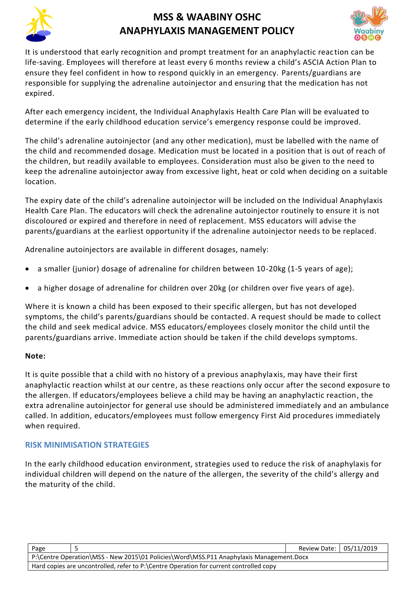



It is understood that early recognition and prompt treatment for an anaphylactic reac tion can be life-saving. Employees will therefore at least every 6 months review a child's ASCIA Action Plan to ensure they feel confident in how to respond quickly in an emergency. Parents/guardians are responsible for supplying the adrenaline autoinjector and ensuring that the medication has not expired.

After each emergency incident, the Individual Anaphylaxis Health Care Plan will be evaluated to determine if the early childhood education service's emergency response could be improved.

The child's adrenaline autoinjector (and any other medication), must be labelled with the name of the child and recommended dosage. Medication must be located in a position that is out of reach of the children, but readily available to employees. Consideration must also be given to the need to keep the adrenaline autoinjector away from excessive light, heat or cold when deciding on a suitable location.

The expiry date of the child's adrenaline autoinjector will be included on the Individual Anaphylaxis Health Care Plan. The educators will check the adrenaline autoinjector routinely to ensure it is not discoloured or expired and therefore in need of replacement. MSS educators will advise the parents/guardians at the earliest opportunity if the adrenaline autoinjector needs to be replaced.

Adrenaline autoinjectors are available in different dosages, namely:

- a smaller (junior) dosage of adrenaline for children between 10-20kg (1-5 years of age);
- a higher dosage of adrenaline for children over 20kg (or children over five years of age).

Where it is known a child has been exposed to their specific allergen, but has not developed symptoms, the child's parents/guardians should be contacted. A request should be made to collect the child and seek medical advice. MSS educators/employees closely monitor the child until the parents/guardians arrive. Immediate action should be taken if the child develops symptoms.

### **Note:**

It is quite possible that a child with no history of a previous anaphylaxis, may have their first anaphylactic reaction whilst at our centre, as these reactions only occur after the second exposure to the allergen. If educators/employees believe a child may be having an anaphylactic reaction, the extra adrenaline autoinjector for general use should be administered immediately and an ambulance called. In addition, educators/employees must follow emergency First Aid procedures immediately when required.

### **RISK MINIMISATION STRATEGIES**

In the early childhood education environment, strategies used to reduce the risk of anaphylaxis for individual children will depend on the nature of the allergen, the severity of the child's allergy and the maturity of the child.

| Page                                                                                    |  | Review Date: 05/11/2019 |  |  |
|-----------------------------------------------------------------------------------------|--|-------------------------|--|--|
| P:\Centre Operation\MSS - New 2015\01 Policies\Word\MSS.P11 Anaphylaxis Management.Docx |  |                         |  |  |
| Hard copies are uncontrolled, refer to P:\Centre Operation for current controlled copy  |  |                         |  |  |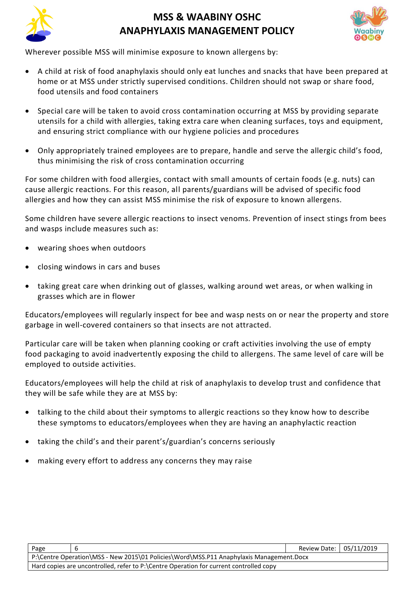



Wherever possible MSS will minimise exposure to known allergens by:

- A child at risk of food anaphylaxis should only eat lunches and snacks that have been prepared at home or at MSS under strictly supervised conditions. Children should not swap or share food, food utensils and food containers
- Special care will be taken to avoid cross contamination occurring at MSS by providing separate utensils for a child with allergies, taking extra care when cleaning surfaces, toys and equipment, and ensuring strict compliance with our hygiene policies and procedures
- Only appropriately trained employees are to prepare, handle and serve the allergic child's food, thus minimising the risk of cross contamination occurring

For some children with food allergies, contact with small amounts of certain foods (e.g. nuts) can cause allergic reactions. For this reason, all parents/guardians will be advised of specific food allergies and how they can assist MSS minimise the risk of exposure to known allergens.

Some children have severe allergic reactions to insect venoms. Prevention of insect stings from bees and wasps include measures such as:

- wearing shoes when outdoors
- closing windows in cars and buses
- taking great care when drinking out of glasses, walking around wet areas, or when walking in grasses which are in flower

Educators/employees will regularly inspect for bee and wasp nests on or near the property and store garbage in well-covered containers so that insects are not attracted.

Particular care will be taken when planning cooking or craft activities involving the use of empty food packaging to avoid inadvertently exposing the child to allergens. The same level of care will be employed to outside activities.

Educators/employees will help the child at risk of anaphylaxis to develop trust and confidence that they will be safe while they are at MSS by:

- talking to the child about their symptoms to allergic reactions so they know how to describe these symptoms to educators/employees when they are having an anaphylactic reaction
- taking the child's and their parent's/guardian's concerns seriously
- making every effort to address any concerns they may raise

| Page                                                                                    |  | Review Date: 05/11/2019 |  |  |
|-----------------------------------------------------------------------------------------|--|-------------------------|--|--|
| P:\Centre Operation\MSS - New 2015\01 Policies\Word\MSS.P11 Anaphylaxis Management.Docx |  |                         |  |  |
| Hard copies are uncontrolled, refer to P:\Centre Operation for current controlled copy  |  |                         |  |  |